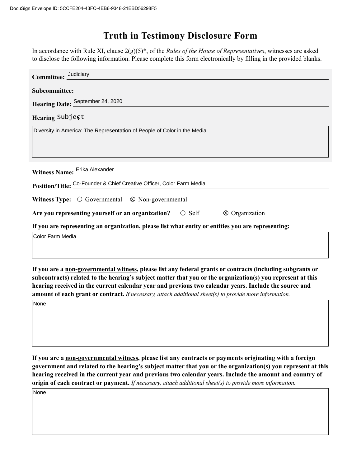## **Truth in Testimony Disclosure Form**

In accordance with Rule XI, clause 2(g)(5)\*, of the *Rules of the House of Representatives*, witnesses are asked to disclose the following information. Please complete this form electronically by filling in the provided blanks.

| Committee: Judiciary                                                                                   |  |  |
|--------------------------------------------------------------------------------------------------------|--|--|
|                                                                                                        |  |  |
| Hearing Date: September 24, 2020                                                                       |  |  |
| Hearing Subject                                                                                        |  |  |
| Diversity in America: The Representation of People of Color in the Media                               |  |  |
| Witness Name: Erika Alexander<br>Position/Title: Co-Founder & Chief Creative Officer, Color Farm Media |  |  |
| <b>Witness Type:</b> $\bigcirc$ Governmental $\otimes$ Non-governmental                                |  |  |
| Are you representing yourself or an organization? $\circ$ Self $\circ$ Organization                    |  |  |
| If you are representing an organization, please list what entity or entities you are representing:     |  |  |
| Color Farm Media                                                                                       |  |  |

**If you are a non-governmental witness, please list any federal grants or contracts (including subgrants or subcontracts) related to the hearing's subject matter that you or the organization(s) you represent at this hearing received in the current calendar year and previous two calendar years. Include the source and amount of each grant or contract.** *If necessary, attach additional sheet(s) to provide more information.*

None

**If you are a non-governmental witness, please list any contracts or payments originating with a foreign government and related to the hearing's subject matter that you or the organization(s) you represent at this hearing received in the current year and previous two calendar years. Include the amount and country of origin of each contract or payment.** *If necessary, attach additional sheet(s) to provide more information.*

None